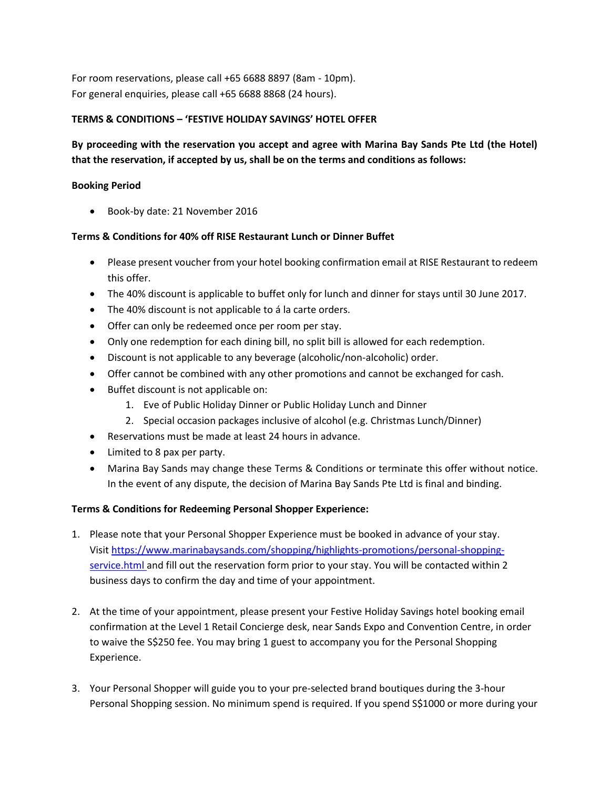For room reservations, please call +65 6688 8897 (8am - 10pm). For general enquiries, please call +65 6688 8868 (24 hours).

# **TERMS & CONDITIONS – 'FESTIVE HOLIDAY SAVINGS' HOTEL OFFER**

# **By proceeding with the reservation you accept and agree with Marina Bay Sands Pte Ltd (the Hotel) that the reservation, if accepted by us, shall be on the terms and conditions as follows:**

### **Booking Period**

Book-by date: 21 November 2016

# **Terms & Conditions for 40% off RISE Restaurant Lunch or Dinner Buffet**

- Please present voucher from your hotel booking confirmation email at RISE Restaurant to redeem this offer.
- The 40% discount is applicable to buffet only for lunch and dinner for stays until 30 June 2017.
- The 40% discount is not applicable to á la carte orders.
- Offer can only be redeemed once per room per stay.
- Only one redemption for each dining bill, no split bill is allowed for each redemption.
- Discount is not applicable to any beverage (alcoholic/non-alcoholic) order.
- Offer cannot be combined with any other promotions and cannot be exchanged for cash.
- Buffet discount is not applicable on:
	- 1. Eve of Public Holiday Dinner or Public Holiday Lunch and Dinner
	- 2. Special occasion packages inclusive of alcohol (e.g. Christmas Lunch/Dinner)
- Reservations must be made at least 24 hours in advance.
- Limited to 8 pax per party.
- Marina Bay Sands may change these Terms & Conditions or terminate this offer without notice. In the event of any dispute, the decision of Marina Bay Sands Pte Ltd is final and binding.

# **Terms & Conditions for Redeeming Personal Shopper Experience:**

- 1. Please note that your Personal Shopper Experience must be booked in advance of your stay. Visit [https://www.marinabaysands.com/shopping/highlights-promotions/personal-shopping](https://www.marinabaysands.com/shopping/highlights-promotions/personal-shopping-service.html )[service.html](https://www.marinabaysands.com/shopping/highlights-promotions/personal-shopping-service.html ) and fill out the reservation form prior to your stay. You will be contacted within 2 business days to confirm the day and time of your appointment.
- 2. At the time of your appointment, please present your Festive Holiday Savings hotel booking email confirmation at the Level 1 Retail Concierge desk, near Sands Expo and Convention Centre, in order to waive the S\$250 fee. You may bring 1 guest to accompany you for the Personal Shopping Experience.
- 3. Your Personal Shopper will guide you to your pre-selected brand boutiques during the 3-hour Personal Shopping session. No minimum spend is required. If you spend S\$1000 or more during your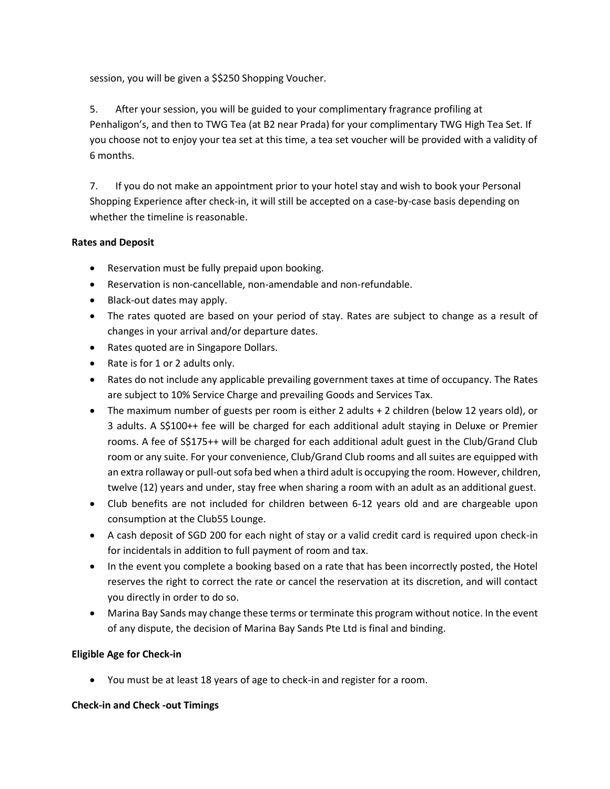session, you will be given a \$\$250 Shopping Voucher.

5. After your session, you will be guided to your complimentary fragrance profiling at Penhaligon's, and then to TWG Tea (at B2 near Prada) for your complimentary TWG High Tea Set. If you choose not to enjoy your tea set at this time, a tea set voucher will be provided with a validity of 6 months.

7. If you do not make an appointment prior to your hotel stay and wish to book your Personal Shopping Experience after check-in, it will still be accepted on a case-by-case basis depending on whether the timeline is reasonable.

### **Rates and Deposit**

- Reservation must be fully prepaid upon booking.
- Reservation is non-cancellable, non-amendable and non-refundable.
- Black-out dates may apply.
- The rates quoted are based on your period of stay. Rates are subject to change as a result of changes in your arrival and/or departure dates.
- Rates quoted are in Singapore Dollars.
- Rate is for 1 or 2 adults only.
- Rates do not include any applicable prevailing government taxes at time of occupancy. The Rates are subject to 10% Service Charge and prevailing Goods and Services Tax.
- The maximum number of guests per room is either 2 adults + 2 children (below 12 years old), or 3 adults. A S\$100++ fee will be charged for each additional adult staying in Deluxe or Premier rooms. A fee of S\$175++ will be charged for each additional adult guest in the Club/Grand Club room or any suite. For your convenience, Club/Grand Club rooms and all suites are equipped with an extra rollaway or pull-out sofa bed when a third adult is occupying the room. However, children, twelve (12) years and under, stay free when sharing a room with an adult as an additional guest.
- Club benefits are not included for children between 6-12 years old and are chargeable upon consumption at the Club55 Lounge.
- A cash deposit of SGD 200 for each night of stay or a valid credit card is required upon check-in for incidentals in addition to full payment of room and tax.
- In the event you complete a booking based on a rate that has been incorrectly posted, the Hotel reserves the right to correct the rate or cancel the reservation at its discretion, and will contact you directly in order to do so.
- Marina Bay Sands may change these terms or terminate this program without notice. In the event of any dispute, the decision of Marina Bay Sands Pte Ltd is final and binding.

# **Eligible Age for Check-in**

You must be at least 18 years of age to check-in and register for a room.

### **Check-in and Check -out Timings**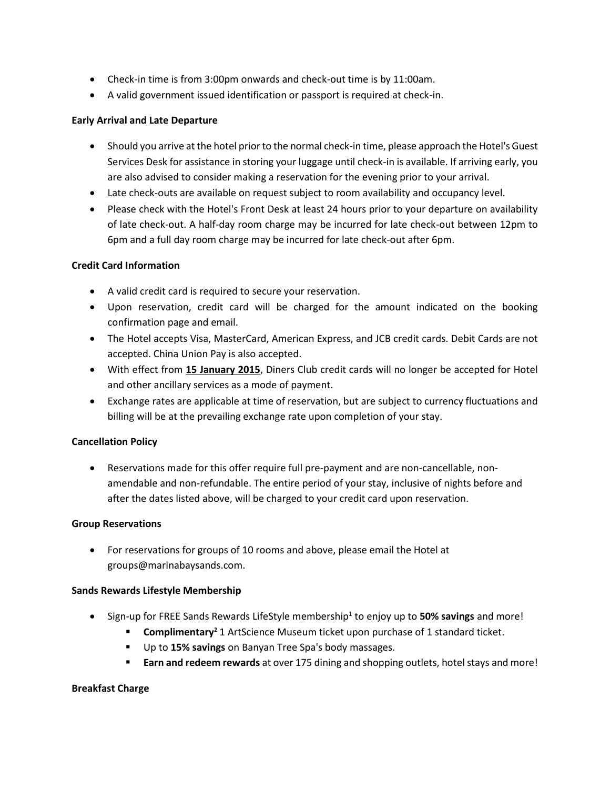- Check-in time is from 3:00pm onwards and check-out time is by 11:00am.
- A valid government issued identification or passport is required at check-in.

### **Early Arrival and Late Departure**

- Should you arrive at the hotel prior to the normal check-in time, please approach the Hotel's Guest Services Desk for assistance in storing your luggage until check-in is available. If arriving early, you are also advised to consider making a reservation for the evening prior to your arrival.
- Late check-outs are available on request subject to room availability and occupancy level.
- Please check with the Hotel's Front Desk at least 24 hours prior to your departure on availability of late check-out. A half-day room charge may be incurred for late check-out between 12pm to 6pm and a full day room charge may be incurred for late check-out after 6pm.

### **Credit Card Information**

- A valid credit card is required to secure your reservation.
- Upon reservation, credit card will be charged for the amount indicated on the booking confirmation page and email.
- The Hotel accepts Visa, MasterCard, American Express, and JCB credit cards. Debit Cards are not accepted. China Union Pay is also accepted.
- With effect from **15 January 2015**, Diners Club credit cards will no longer be accepted for Hotel and other ancillary services as a mode of payment.
- Exchange rates are applicable at time of reservation, but are subject to currency fluctuations and billing will be at the prevailing exchange rate upon completion of your stay.

# **Cancellation Policy**

 Reservations made for this offer require full pre-payment and are non-cancellable, nonamendable and non-refundable. The entire period of your stay, inclusive of nights before and after the dates listed above, will be charged to your credit card upon reservation.

### **Group Reservations**

 For reservations for groups of 10 rooms and above, please email the Hotel at groups@marinabaysands.com.

### **Sands Rewards Lifestyle Membership**

- **Sign-up for FREE Sands Rewards LifeStyle membership<sup>1</sup> to enjoy up to 50% savings and more!** 
	- **Complimentary<sup>2</sup> 1 ArtScience Museum ticket upon purchase of 1 standard ticket.**
	- Up to **15% savings** on Banyan Tree Spa's body massages.
	- **Earn and redeem rewards** at over 175 dining and shopping outlets, hotel stays and more!

### **Breakfast Charge**